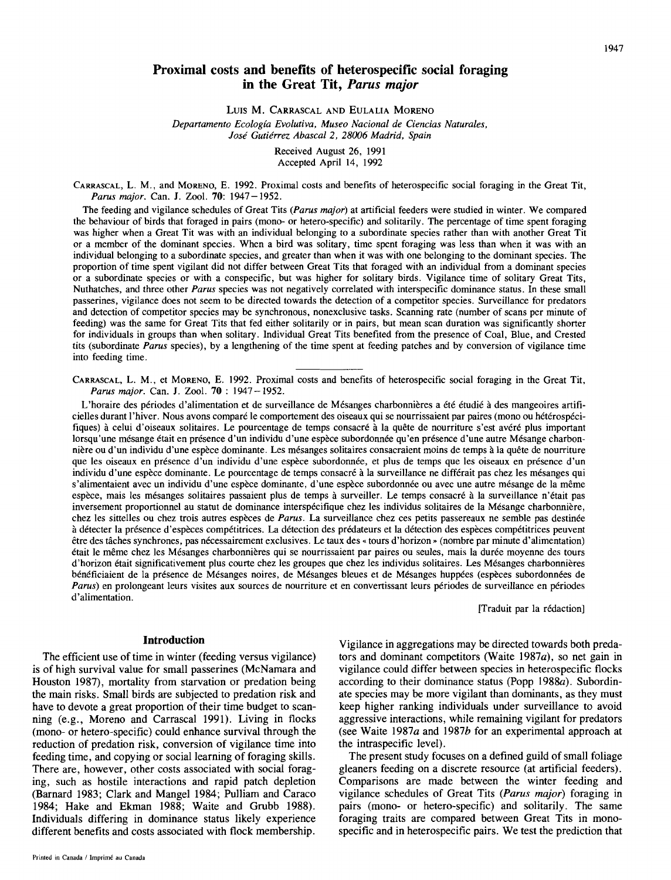# **Proximal costs and benefits of heterospecific social foraging in the Great Tit,** *Parus major*

LUIS M. CARRASCAL AND EULALIA MORENO

*Departamento Ecologia Evolutiva, Museo Nacional de Ciencias Naturales, Jose' Gutidrrez Abascal 2, 28006 Madrid, Spain* 

> Received August 26, 1991 Accepted April 14, 1992

CARRASCAL, L. M., and **MORENO,** E. 1992. Proximal costs and benefits of heterospecific social foraging in the Great Tit, *Parus major.* Can. *J.* Zool. **70:** 1947 - 1952.

The feeding and vigilance schedules of Great Tits *(Parus major)* at artificial feeders were studied in winter. We compared the behaviour of birds that foraged in pairs (mono- or hetero-specific) and solitarily. The percentage of time spent foraging was higher when a Great Tit was with an individual belonging to a subordinate species rather than with another Great Tit or a member of the dominant species. When a bird was solitary, time spent foraging was less than when it was with an individual belonging to a subordinate species, and greater than when it was with one belonging to the dominant species. The proportion of time spent vigilant did not differ between Great Tits that foraged with an individual from a dominant species or a subordinate species or with a conspecific, but was higher for solitary birds. Vigilance time of solitary Great Tits, Nuthatches, and three other *Parus* species was not negatively correlated with interspecific dominance status. In these small passerines, vigilance does not seem to be directed towards the detection of a competitor species. Surveillance for predators and detection of competitor species may be synchronous, nonexclusive tasks. Scanning rate (number of scans per minute of feeding) was the same for Great Tits that fed either solitarily or in pairs, but mean scan duration was significantly shorter for individuals in groups than when solitary. Individual Great Tits benefited from the presence of Coal, Blue, and Crested tits (subordinate *Parus* species), by a lengthening of the time spent at feeding patches and by conversion of vigilance time into feeding time.

CARRASCAL, L. M., et **MORENO,** E. 1992. Proximal costs and benefits of heterospecific social foraging in the Great Tit, *Parus major.* Can. *J.* Zool. **70** : 1947-1952.

L'horaire des périodes d'alimentation et de surveillance de Mésanges charbonnières a été étudié à des mangeoires artificielles durant l'hiver. Nous avons comparé le comportement des oiseaux qui se nourrissaient par paires (mono ou hétérospécifiques) à celui d'oiseaux solitaires. Le pourcentage de temps consacré à la quête de nourriture s'est avéré plus important lorsqu'une mésange était en présence d'un individu d'une espèce subordonnée qu'en présence d'une autre Mésange charbonnière ou d'un individu d'une espèce dominante. Les mésanges solitaires consacraient moins de temps à la quête de nourriture que les oiseaux en présence d'un individu d'une espèce subordonnée, et plus de temps que les oiseaux en présence d'un individu d'une espèce dominante. Le pourcentage de temps consacré à la surveillance ne différait pas chez les mésanges qui s'alimentaient avec un individu d'une espèce dominante, d'une espèce subordonnée ou avec une autre mésange de la même espèce, mais les mésanges solitaires passaient plus de temps à surveiller. Le temps consacré à la surveillance n'était pas inversement proportionnel au statut de dominance interspécifique chez les individus solitaires de la Mésange charbonnière, chez les sittelles ou chez trois autres espèces de *Parus*. La surveillance chez ces petits passereaux ne semble pas destinée à détecter la présence d'espèces compétitrices. La détection des prédateurs et la détection des espèces compétitrices peuvent être des tâches synchrones, pas nécessairement exclusives. Le taux des « tours d'horizon » (nombre par minute d'alimentation) était le même chez les Mésanges charbonnières qui se nourrissaient par paires ou seules, mais la durée moyenne des tours d'horizon était significativement plus courte chez les groupes que chez les individus solitaires. Les Mésanges charbonnières bénéficiaient de la présence de Mésanges noires, de Mésanges bleues et de Mésanges huppées (espèces subordonnées de *Parus*) en prolongeant leurs visites aux sources de nourriture et en convertissant leurs périodes de surveillance en périodes d'alimentation.

[Traduit par la rédaction]

#### **Introduction**

The efficient use of time in winter (feeding versus vigilance) is of high survival value for small passerines (McNamara and Houston 1987), mortality from starvation or predation being the main risks. Small birds are subjected to predation risk and have to devote a great proportion of their time budget to scanning (e.g., Moreno and Carrascal 1991). Living in flocks (mono- or hetero-specific) could enhance survival through the reduction of predation risk, conversion of vigilance time into feeding time, and copying or social learning of foraging skills. There are, however, other costs associated with social foraging, such as hostile interactions and rapid patch depletion (Barnard 1983; Clark and Mange1 1984; Pulliam and Caraco 1984; Hake and Ekman 1988; Waite and Grubb 1988). Individuals differing in dominance status likely experience different benefits and costs associated with flock membership.

Vigilance in aggregations may be directed towards both predators and dominant competitors (Waite 1987 $a$ ), so net gain in vigilance could differ between species in heterospecific flocks according to their dominance status (Popp 1988 $a$ ). Subordinate species may be more vigilant than dominants, as they must keep higher ranking individuals under surveillance to avoid aggressive interactions, while remaining vigilant for predators (see Waite 1987a and 19876 for an experimental approach at the intraspecific level).

The present study focuses on a defined guild of small foliage gleaners feeding on a discrete resource (at artificial feeders). Comparisons are made between the winter feeding and vigilance schedules of Great Tits (Parus major) foraging in pairs (mono- or hetero-specific) and solitarily. The same foraging traits are compared between Great Tits in monospecific and in heterospecific pairs. We test the prediction that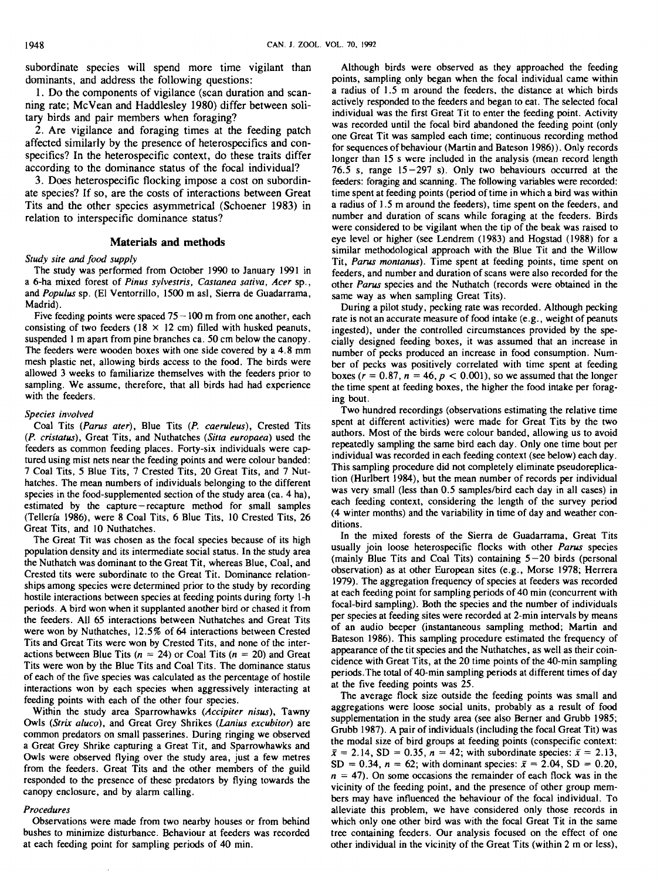subordinate species will spend more time vigilant than dominants, and address the following questions:

1. Do the components of vigilance (scan duration and scanning rate; McVean and Haddlesley 1980) differ between solitary birds and pair members when foraging?

2. Are vigilance and foraging times at the feeding patch affected similarly by the presence of heterospecifics and conspecifics? In the heterospecific context, do these traits differ according to the dominance status of the focal individual?

3. Does heterospecific flocking impose a cost on subordinate species? If so, are the costs of interactions between Great Tits and the other species asymmetrical (Schoener 1983) in relation to interspecific dominance status?

## **Materials and methods**

#### Study site and food supply

The study was performed from October 1990 to January 1991 in a 6-ha mixed forest of Pinus sylvestris, Castanea sativa, Acer sp., and Populus sp. (El Ventorrillo, 1500 m asl. Sierra de Guadarrama, Madrid).

Five feeding points were spaced  $75 - 100$  m from one another, each consisting of two feeders ( $18 \times 12$  cm) filled with husked peanuts, suspended 1 m apart from pine branches ca. 50 cm below the canopy. The feeders were wooden boxes with one side covered by a 4.8 mm mesh plastic net, allowing birds access to the food. The birds were allowed 3 weeks to familiarize themselves with the feeders prior to sampling. We assume, therefore, that all birds had had experience with the feeders.

#### Species involved

Coal Tits (Parus ater), Blue Tits (P. caeruleus), Crested Tits (P. cristatus), Great Tits, and Nuthatches (Sitta europaea) used the feeders as common feeding places. Forty-six individuals were captured using mist nets near the feeding points and were colour banded: 7 Coal Tits, 5 Blue Tits, 7 Crested Tits, 20 Great Tits, and 7 Nuthatches. The mean numbers of individuals belonging to the different species in the food-supplemented section of the study area (ca. 4 ha), estimated by the capture-recapture method for small samples (Telleria 1986), were 8 Coal Tits, 6 Blue Tits, 10 Crested Tits, 26 Great Tits, and 10 Nuthatches.

The Great Tit was chosen as the focal species because of its high population density and its intermediate social status. In the study area the Nuthatch was dominant to the Great Tit, whereas Blue, Coal, and Crested tits were subordinate to the Great Tit. Dominance relationships among species were determined prior to the study by recording hostile interactions between species at feeding points during forty l-h periods. A bird won when it supplanted another bird or chased it from the feeders. All 65 interactions between Nuthatches and Great Tits were won by Nuthatches, 12.5% of 64 interactions between Crested Tits and Great Tits were won by Crested Tits, and none of the interactions between Blue Tits ( $n = 24$ ) or Coal Tits ( $n = 20$ ) and Great Tits were won by the Blue Tits and Coal Tits. The dominance status of each of the five species was calculated as the percentage of hostile interactions won by each species when aggressively interacting at feeding points with each of the other four species.

Within the study area Sparrowhawks (Accipiter nisus), Tawny Owls (Strix aluco), and Great Grey Shrikes (Lanius excubitor) are common predators on small passerines. During ringing we observed a Great Grey Shrike capturing a Great Tit, and Sparrowhawks and Owls were observed flying over the study area, just a few metres from the feeders. Great Tits and the other members of the guild responded to the presence of these predators by flying towards the canopy enclosure, and by alarm calling.

#### Procedures

Observations were made from two nearby houses or from behind bushes to minimize disturbance. Behaviour at feeders was recorded at each feeding point for sampling periods of 40 min.

Although birds were observed as they approached the feeding points, sampling only began when the focal individual came within a radius of 1.5 m around the feeders, the distance at which birds actively responded to the feeders and began to eat. The selected focal individual was the first Great Tit to enter the feeding point. Activity was recorded until the focal bird abandoned the feeding point (only one Great Tit was sampled each time; continuous recording method for sequences of behaviour (Martin and Bateson 1986)). Only records longer than 15 s were included in the analysis (mean record length 76.5 s, range  $15-297$  s). Only two behaviours occurred at the feeders: foraging and scanning. The following variables were recorded: time spent at feeding points (period of time in which a bird was within a radius of 1 .S m around the feeders), time spent on the feeders, and number and duration of scans while foraging at the feeders. Birds were considered to be vigilant when the tip of the beak was raised to eye level or higher (see Lendrem (1983) and Hogstad (1988) for a similar methodological approach with the Blue Tit and the Willow Tit, Parus montanus). Time spent at feeding points, time spent on feeders, and number and duration of scans were also recorded for the other Parus species and the Nuthatch (records were obtained in the same way as when sampling Great Tits).

During a pilot study, pecking rate was recorded. Although pecking rate is not an accurate measure of food intake (e.g., weight of peanuts ingested), under the controlled circumstances provided by the specially designed feeding boxes, it was assumed that an increase in number of pecks produced an increase in food consumption. Number of pecks was positively correlated with time spent at feeding boxes ( $r = 0.87$ ,  $n = 46$ ,  $p < 0.001$ ), so we assumed that the longer the time spent at feeding boxes, the higher the food intake per foraging bout.

Two hundred recordings (observations estimating the relative time spent at different activities) were made for Great Tits by the two authors. Most of the birds were colour banded, allowing us to avoid repeatedly sampling the same bird each day. Only one time bout per individual was recorded in each feeding context (see below) each day. This sampling procedure did not completely eliminate pseudoreplication (Hurlbert 1984), but the mean number of records per individual was very small (less than 0.5 samples/bird each day in all cases) in each feeding context, considering the length of the survey period (4 winter months) and the variability in time of day and weather conditions.

In the mixed forests of the Sierra de Guadarrama, Great Tits usually join loose heterospecific flocks with other Parus species (mainly Blue Tits and Coal Tits) containing 5-20 birds (personal observation) as at other European sites (e.g., Morse 1978; Herrera 1979). The aggregation frequency of species at feeders was recorded at each feeding point for sampling periods of 40 min (concurrent with focal-bird sampling). Both the species and the number of individuals per species at feeding sites were recorded at 2-min intervals by means of an audio beeper (instantaneous sampling method; Martin and Bateson 1986). This sampling procedure estimated the frequency of appearance of the tit species and the Nuthatches, as well as their coincidence with Great Tits, at the 20 time points of the 40-min sampling periods.The total of 40-min sampling periods at different times of day at the five feeding points was 25.

The average flock size outside the feeding points was small and aggregations were loose social units, probably as a result of food supplementation in the study area (see also Berner and Grubb 1985; Grubb 1987). A pair of individuals (including the focal Great Tit) was the modal size of bird groups at feeding points (conspecific context:  $\bar{x} = 2.14$ , SD = 0.35,  $n = 42$ ; with subordinate species:  $\bar{x} = 2.13$ , SD = 0.34,  $n = 62$ ; with dominant species:  $\bar{x} = 2.04$ , SD = 0.20,  $n = 47$ ). On some occasions the remainder of each flock was in the vicinity of the feeding point, and the presence of other group members may have influenced the behaviour of the focal individual. To alleviate this problem, we have considered only those records in which only one other bird was with the focal Great Tit in the same tree containing feeders. Our analysis focused on the effect of one other individual in the vicinity of the Great Tits (within 2 m or less),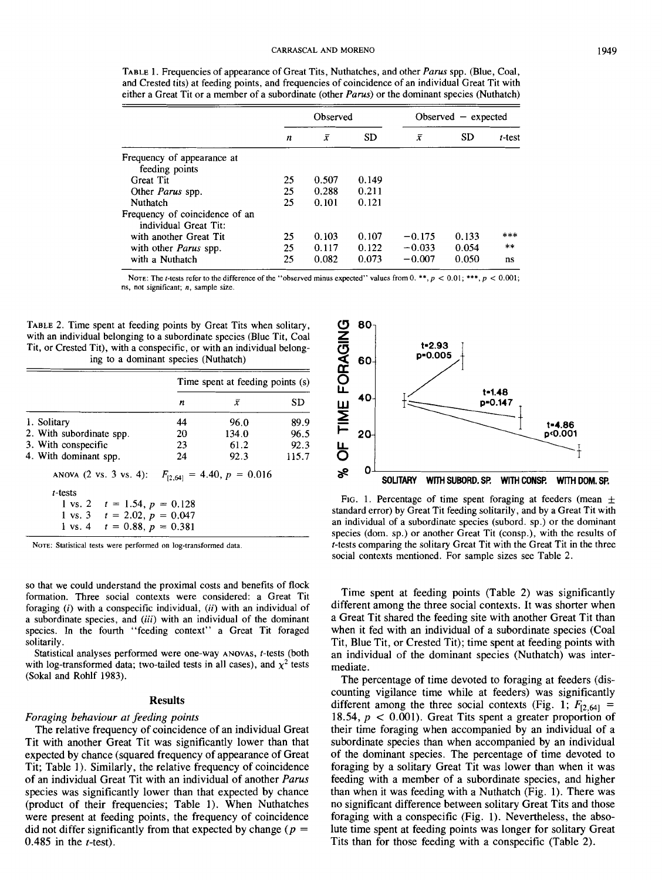TABLE 1. Frequencies of appearance of Great Tits, Nuthatches, and other Parus spp. (Blue, Coal, and Crested tits) at feeding points, and frequencies of coincidence of an individual Great Tit with either a Great Tit or a member of a subordinate (other Parus) or the dominant species (Nuthatch)

|                                                         | Observed |       |           |          | Observed $-$ expected |        |  |
|---------------------------------------------------------|----------|-------|-----------|----------|-----------------------|--------|--|
|                                                         | n        | x     | <b>SD</b> | ī        | <b>SD</b>             | t-test |  |
| Frequency of appearance at                              |          |       |           |          |                       |        |  |
| feeding points                                          |          |       |           |          |                       |        |  |
| <b>Great Tit</b>                                        | 25       | 0.507 | 0.149     |          |                       |        |  |
| Other <i>Parus</i> spp.                                 | 25       | 0.288 | 0.211     |          |                       |        |  |
| Nuthatch                                                | 25       | 0.101 | 0.121     |          |                       |        |  |
| Frequency of coincidence of an<br>individual Great Tit: |          |       |           |          |                       |        |  |
| with another Great Tit                                  | 25       | 0.103 | 0.107     | $-0.175$ | 0.133                 | ***    |  |
| with other <i>Parus</i> spp.                            | 25       | 0.117 | 0.122     | $-0.033$ | 0.054                 | $**$   |  |
| with a Nuthatch                                         | 25       | 0.082 | 0.073     | $-0.007$ | 0.050                 | ns     |  |

NOTE: The *t*-tests refer to the difference of the "observed minus expected" values from 0. \*\*,  $p < 0.01$ ; \*\*\*,  $p < 0.001$ ; **ns, not significant; n, sample size.** 

TABLE 2. Time spent at feeding points by Great Tits when solitary, with an individual belonging to a subordinate species (Blue Tit, Coal Tit, or Crested Tit), with a conspecific, or with an individual belonging to a dominant species (Nuthatch)

|                                  | Time spent at feeding points (s) |                                |       |  |  |
|----------------------------------|----------------------------------|--------------------------------|-------|--|--|
|                                  | n                                | x                              | SD    |  |  |
| 1. Solitary                      | 44                               | 96.0                           | 89.9  |  |  |
| 2. With subordinate spp.         | 20                               | 134.0                          | 96.5  |  |  |
| 3. With conspecific              | 23                               | 61.2                           | 92.3  |  |  |
| 4. With dominant spp.            | 24                               | 92.3                           | 115.7 |  |  |
| ANOVA (2 vs. 3 vs. 4):           |                                  | $F_{[2,64]} = 4.40, p = 0.016$ |       |  |  |
| $t$ -tests                       |                                  |                                |       |  |  |
| 1 vs. 2 $t = 1.54$ , $p = 0.128$ |                                  |                                |       |  |  |
| 1 vs. 3 $t = 2.02$ , $p = 0.047$ |                                  |                                |       |  |  |
| 1 vs. 4 $t = 0.88, p = 0.381$    |                                  |                                |       |  |  |

NOTE: **Statistical tests were performed on log-transformed data** 

so that we could understand the proximal costs and benefits of flock formation. Three social contexts were considered: a Great Tit foraging  $(i)$  with a conspecific individual,  $(ii)$  with an individual of a subordinate species, and (iii) with an individual of the dominant species. In the fourth "feeding context" a Great Tit foraged solitarily .

Statistical analyses performed were one-way ANOVAS, t-tests (both with log-transformed data; two-tailed tests in all cases), and  $\chi^2$  tests (Sokal and Rohlf 1983).

#### **Results**

## Foraging behaviour at feeding points

The relative frequency of coincidence of an individual Great Tit with another Great Tit was significantly lower than that expected by chance (squared frequency of appearance of Great Tit; Table 1). Similarly, the relative frequency of coincidence of an individual Great Tit with an individual of another Parus species was significantly lower than that expected by chance (product of their frequencies; Table 1). When Nuthatches were present at feeding points, the frequency of coincidence did not differ significantly from that expected by change ( $p =$ 0.485 in the  $t$ -test).



FIG. 1. Percentage of time spent foraging at feeders (mean  $\pm$ standard error) by Great Tit feeding solitarily, and by a Great Tit with an individual of a subordinate species (subord. sp.) or the dominant species (dom. sp.) or another Great Tit (consp.), with the results of t-tests comparing the solitary Great Tit with the Great Tit in the three social contexts mentioned. For sample sizes see Table 2.

Time spent at feeding points (Table 2) was significantly different among the three social contexts. It was shorter when a Great Tit shared the feeding site with another Great Tit than when it fed with an individual of a subordinate species (Coal Tit, Blue Tit, or Crested Tit); time spent at feeding points with an individual of the dominant species (Nuthatch) was intermediate.

The percentage of time devoted to foraging at feeders (discounting vigilance time while at feeders) was significantly different among the three social contexts (Fig. 1;  $F_{[2,64]}$  = 18.54,  $p < 0.001$ ). Great Tits spent a greater proportion of their time foraging when accompanied by an individual of a subordinate species than when accompanied by an individual of the dominant species. The percentage of time devoted to foraging by a solitary Great Tit was lower than when it was feeding with a member of a subordinate species, and higher than when it was feeding with a Nuthatch (Fig. 1). There was no significant difference between solitary Great Tits and those foraging with a conspecific (Fig. 1). Nevertheless, the absolute time spent at feeding points was longer for solitary Great Tits than for those feeding with a conspecific (Table 2).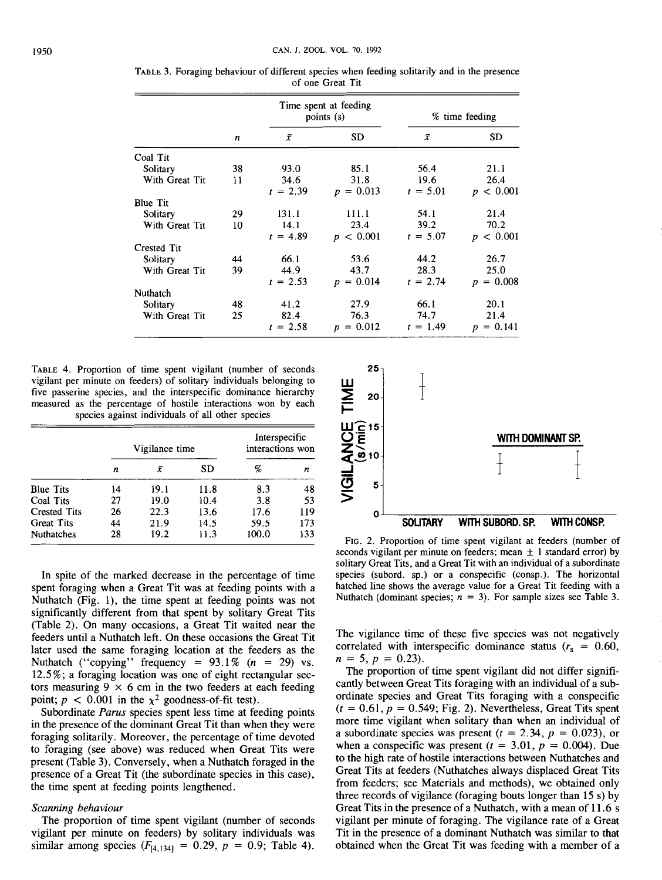|                 |    |            | Time spent at feeding<br>points (s) | % time feeding |             |  |
|-----------------|----|------------|-------------------------------------|----------------|-------------|--|
|                 | n  | $\bar{x}$  | <b>SD</b>                           | $\bar{x}$      | <b>SD</b>   |  |
| Coal Tit        |    |            |                                     |                |             |  |
| Solitary        | 38 | 93.0       | 85.1                                | 56.4           | 21.1        |  |
| With Great Tit  | 11 | 34.6       | 31.8                                | 19.6           | 26.4        |  |
|                 |    | $t = 2.39$ | $p = 0.013$                         | $t = 5.01$     | p < 0.001   |  |
| <b>Blue Tit</b> |    |            |                                     |                |             |  |
| Solitary        | 29 | 131.1      | 111.1                               | 54.1           | 21.4        |  |
| With Great Tit  | 10 | 14.1       | 23.4                                | 39.2           | 70.2        |  |
|                 |    | $t = 4.89$ | p < 0.001                           | $t = 5.07$     | p < 0.001   |  |
| Crested Tit     |    |            |                                     |                |             |  |
| Solitary        | 44 | 66.1       | 53.6                                | 44.2           | 26.7        |  |
| With Great Tit  | 39 | 44.9       | 43.7                                | 28.3           | 25.0        |  |
|                 |    | $t = 2.53$ | $p = 0.014$                         | $t = 2.74$     | $p = 0.008$ |  |
| Nuthatch        |    |            |                                     |                |             |  |
| Solitary        | 48 | 41.2       | 27.9                                | 66.1           | 20.1        |  |
| With Great Tit  | 25 | 82.4       | 76.3                                | 74.7           | 21.4        |  |
|                 |    | $t = 2.58$ | $= 0.012$<br>$\boldsymbol{D}$       | $t = 1.49$     | $p = 0.141$ |  |

TABLE 3. Foraging behaviour of different species when feeding solitarily and in the presence of one Great Tit

TABLE 4. Proportion of time spent vigilant (number of seconds vigilant per minute on feeders) of solitary individuals belonging to five passerine species, and the interspecific dominance hierarchy measured as the percentage of hostile interactions won by each species against individuals of all other species

|                     |    | Vigilance time |      | Interspecific<br>interactions won |     |  |
|---------------------|----|----------------|------|-----------------------------------|-----|--|
|                     | n  | x              | SD   | %                                 | n   |  |
| <b>Blue Tits</b>    | 14 | 19.1           | 11.8 | 8.3                               | 48  |  |
| Coal Tits           | 27 | 19.0           | 10.4 | 3.8                               | 53  |  |
| <b>Crested Tits</b> | 26 | 22.3           | 13.6 | 17.6                              | 119 |  |
| <b>Great Tits</b>   | 44 | 21.9           | 14.5 | 59.5                              | 173 |  |
| <b>Nuthatches</b>   | 28 | 19.2           | 11.3 | 100.0                             | 133 |  |

In spite of the marked decrease in the percentage of time spent foraging when a Great Tit was at feeding points with a Nuthatch (Fig. l), the time spent at feeding points was not significantly different from that spent by solitary Great Tits (Table 2). On many occasions, a Great Tit waited near the feeders until a Nuthatch left. On these occasions the Great Tit later used the same foraging location at the feeders as the Nuthatch ("copying" frequency =  $93.1\%$  ( $n = 29$ ) vs. 12.5%; a foraging location was one of eight rectangular sectors measuring  $9 \times 6$  cm in the two feeders at each feeding point;  $p < 0.001$  in the  $\chi^2$  goodness-of-fit test).

Subordinate Parus species spent less time at feeding points in the presence of the dominant Great Tit than when they were foraging solitarily. Moreover, the percentage of time devoted to foraging (see above) was reduced when Great Tits were present (Table 3). Conversely, when a Nuthatch foraged in the presence of a Great Tit (the subordinate species in this case), the time spent at feeding points lengthened.

## Scanning behaviour

The proportion of time spent vigilant (number of seconds vigilant per minute on feeders) by solitary individuals was similar among species  $(F_{[4,134]} = 0.29, p = 0.9;$  Table 4).



FIG. 2. Proportion of time spent vigilant at feeders (number of seconds vigilant per minute on feeders; mean  $\pm$  1 standard error) by solitary Great Tits, and a Great Tit with an individual of a subordinate species (subord. sp.) or a conspecific (consp.). The horizontal hatched line shows the average value for a Great Tit feeding with a Nuthatch (dominant species;  $n = 3$ ). For sample sizes see Table 3.

The vigilance time of these five species was not negatively correlated with interspecific dominance status  $(r<sub>s</sub> = 0.60)$ ,  $n = 5$ ,  $p = 0.23$ ).

The proportion of time spent vigilant did not differ significantly between Great Tits foraging with an individual of a subordinate species and Great Tits foraging with a conspecific  $(t = 0.61, p = 0.549;$  Fig. 2). Nevertheless, Great Tits spent more time vigilant when solitary than when an individual of a subordinate species was present ( $t = 2.34$ ,  $p = 0.023$ ), or when a conspecific was present ( $t = 3.01$ ,  $p = 0.004$ ). Due to the high rate of hostile interactions between Nuthatches and Great Tits at feeders (Nuthatches always displaced Great Tits from feeders; see Materials and methods), we obtained only three records of vigilance (foraging bouts longer than 15 S) by Great Tits in the presence of a Nuthatch, with a mean of 11.6 s vigilant per minute of foraging. The vigilance rate of a Great Tit in the presence of a dominant Nuthatch was similar to that obtained when the Great Tit was feeding with a member of a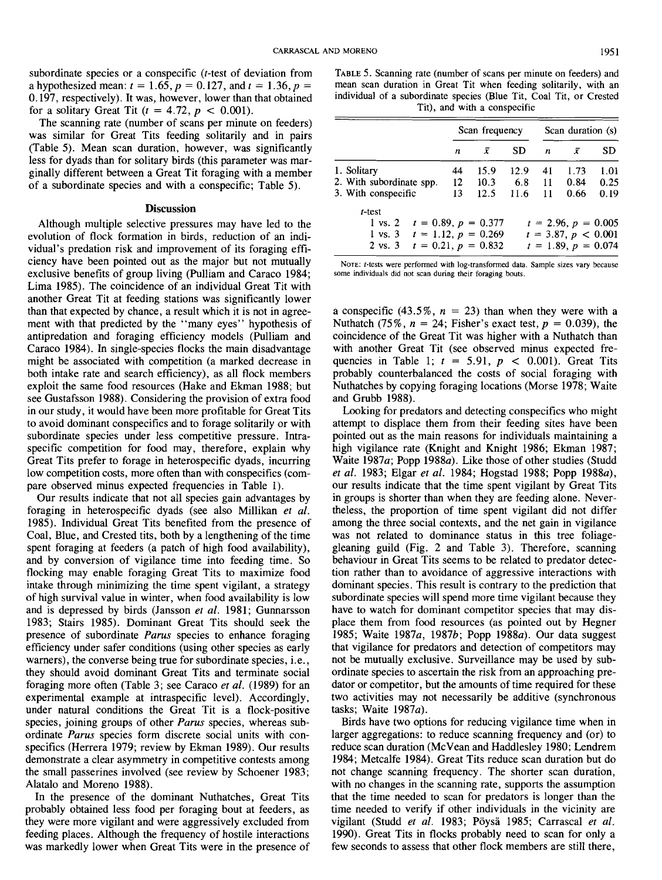subordinate species or a conspecific (*t*-test of deviation from a hypothesized mean:  $t = 1.65$ ,  $p = 0.127$ , and  $t = 1.36$ ,  $p =$ 0.197, respectively). It was, however, lower than that obtained for a solitary Great Tit ( $t = 4.72$ ,  $p < 0.001$ ).

The scanning rate (number of scans per minute on feeders) was similar for Great Tits feeding solitarily and in pairs (Table 5). Mean scan duration, however, was significantly less for dyads than for solitary birds (this parameter was marginally different between a Great Tit foraging with a member of a subordinate species and with a conspecific; Table 5).

# **Discussion**

Although multiple selective pressures may have led to the evolution of flock formation in birds, reduction of an individual's predation risk and improvement of its foraging efficiency have been pointed out as the major but not mutually exclusive benefits of group living (Pulliam and Caraco 1984; Lima 1985). The coincidence of an individual Great Tit with another Great Tit at feeding stations was significantly lower than that expected by chance, a result which it is not in agreement with that predicted by the "many eyes" hypothesis of antipredation and foraging efficiency models (Pulliam and Caraco 1984). In single-species flocks the main disadvantage might be associated with competition (a marked decrease in both intake rate and search efficiency), as all flock members exploit the same food resources (Hake and Ekman 1988; but see Gustafsson 1988). Considering the provision of extra food in our study, it would have been more profitable for Great Tits to avoid dominant conspecifics and to forage solitarily or with subordinate species under less competitive pressure. Intraspecific competition for food may, therefore, explain why Great Tits prefer to forage in heterospecific dyads, incurring low competition costs, more often than with conspecifics (compare observed minus expected frequencies in Table 1).

Our results indicate that not all species gain advantages by foraging in heterospecific dyads (see also Millikan et al. 1985). Individual Great Tits benefited from the presence of Coal, Blue, and Crested tits, both by a lengthening of the time spent foraging at feeders (a patch of high food availability), and by conversion of vigilance time into feeding time. So flocking may enable foraging Great Tits to maximize food intake through minimizing the time spent vigilant, a strategy of high survival value in winter, when food availability is low and is depressed by birds (Jansson et al. 1981; Gunnarsson 1983; Stairs 1985). Dominant Great Tits should seek the presence of subordinate Parus species to enhance foraging efficiency under safer conditions (using other species as early warners), the converse being true for subordinate species, i.e., they should avoid dominant Great Tits and terminate social foraging more often (Table 3; see Caraco et al. (1989) for an experimental example at intraspecific level). Accordingly, under natural conditions the Great Tit is a flock-positive species, joining groups of other *Parus* species, whereas subordinate Parus species form discrete social units with conspecifics (Herrera 1979; review by Ekman 1989). Our results demonstrate a clear asymmetry in competitive contests among the small passerines involved (see review by Schoener 1983; Alatalo and Moreno 1988).

In the presence of the dominant Nuthatches, Great Tits probably obtained less food per foraging bout at feeders, as they were more vigilant and were aggressively excluded from feeding places. Although the frequency of hostile interactions was markedly lower when Great Tits were in the presence of

TABLE 5. Scanning rate (number of scans per minute on feeders) and mean scan duration in Great Tit when feeding solitarily, with an individual of a subordinate species (Blue Tit, Coal Tit, or Crested Tit), and with a conspecific

|                                                                                                                                          |                         | Scan frequency |             |          | Scan duration (s)                                                       |              |
|------------------------------------------------------------------------------------------------------------------------------------------|-------------------------|----------------|-------------|----------|-------------------------------------------------------------------------|--------------|
|                                                                                                                                          | n                       | x              | SD          | n        | ī                                                                       | <b>SD</b>    |
| 1. Solitary                                                                                                                              | 44                      | 15.9           | 12.9        | 41       | 1.73                                                                    | 1.01         |
| 2. With subordinate spp.<br>3. With conspecific                                                                                          | $12 \overline{ }$<br>13 | 10.3<br>12.5   | 6.8<br>11.6 | 11<br>11 | 0.84<br>0.66                                                            | 0.25<br>0.19 |
| t-test<br>$t = 0.89, p = 0.377$<br>$1 \text{ vs. } 2$<br>1 vs. 3 $t = 1.12$ , $p = 0.269$<br>$t = 0.21, p = 0.832$<br>$2 \text{ vs. } 3$ |                         |                |             |          | $t = 2.96, p = 0.005$<br>$t = 3.87, p < 0.001$<br>$t = 1.89, p = 0.074$ |              |

NOTE: **t-tests were performed with log-transformed data. Sample sizes vary because some individuals did not scan during their foraging bouts.** 

a conspecific (43.5%,  $n = 23$ ) than when they were with a Nuthatch (75%,  $n = 24$ ; Fisher's exact test,  $p = 0.039$ ), the coincidence of the Great Tit was higher with a Nuthatch than with another Great Tit (see observed minus expected frequencies in Table 1;  $t = 5.91$ ,  $p < 0.001$ ). Great Tits probably counterbalanced the costs of social foraging with Nuthatches by copying foraging locations (Morse 1978; Waite and Grubb 1988).

Looking for predators and detecting conspecifics who might attempt to displace them from their feeding sites have been pointed out as the main reasons for individuals maintaining a high vigilance rate (Knight and Knight 1986; Ekman 1987; Waite 1987a; Popp 1988 $a$ ). Like those of other studies (Studd et al. 1983; Elgar et al. 1984; Hogstad 1988; Popp 1988a), our results indicate that the time spent vigilant by Great Tits in groups is shorter than when they are feeding alone. Nevertheless, the proportion of time spent vigilant did not differ among the three social contexts, and the net gain in vigilance was not related to dominance status in this tree foliagegleaning guild (Fig. 2 and Table 3). Therefore, scanning behaviour in Great Tits seems to be related to predator detection rather than to avoidance of aggressive interactions with dominant species. This result is contrary to the prediction that subordinate species will spend more time vigilant because they have to watch for dominant competitor species that may displace them from food resources (as pointed out by Hegner 1985; Waite 1987a, 1987b; Popp 1988a). Our data suggest that vigilance for predators and detection of competitors may not be mutually exclusive. Surveillance may be used by subordinate species to ascertain the risk from an approaching predator or competitor, but the amounts of time required for these two activities may not necessarily be additive (synchronous tasks; Waite  $1987a$ ).

Birds have two options for reducing vigilance time when in larger aggregations: to reduce scanning frequency and (or) to reduce scan duration (McVean and Haddlesley 1980; Lendrem 1984; Metcalfe 1984). Great Tits reduce scan duration but do not change scanning frequency. The shorter scan duration, with no changes in the scanning rate, supports the assumption that the time needed to scan for predators is longer than the time needed to verify if other individuals in the vicinity are vigilant (Studd et al. 1983; Pöysä 1985; Carrascal et al. 1990). Great Tits in flocks probably need to scan for only a few seconds to assess that other flock members are still there,